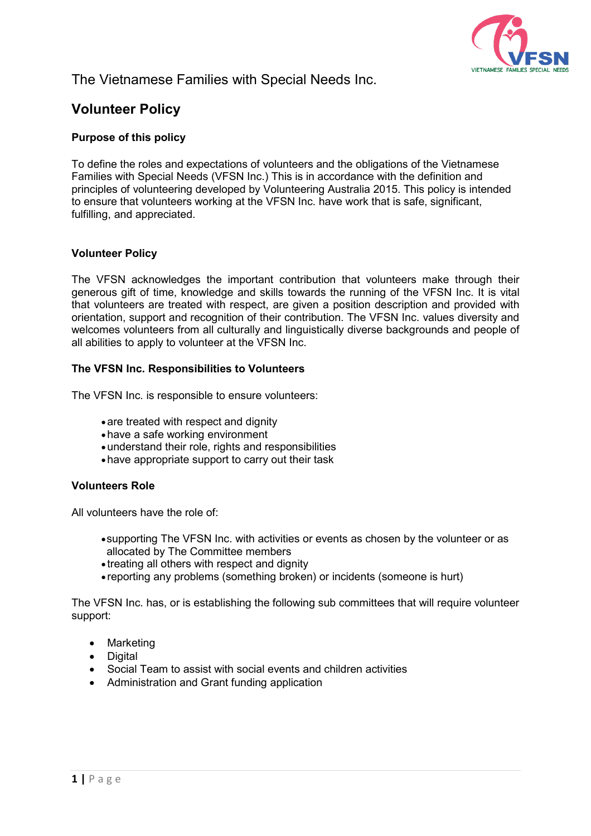

## The Vietnamese Families with Special Needs Inc.

# **Volunteer Policy**

## **Purpose of this policy**

To define the roles and expectations of volunteers and the obligations of the Vietnamese Families with Special Needs (VFSN Inc.) This is in accordance with the definition and principles of volunteering developed by Volunteering Australia 2015. This policy is intended to ensure that volunteers working at the VFSN Inc. have work that is safe, significant, fulfilling, and appreciated.

## **Volunteer Policy**

The VFSN acknowledges the important contribution that volunteers make through their generous gift of time, knowledge and skills towards the running of the VFSN Inc. It is vital that volunteers are treated with respect, are given a position description and provided with orientation, support and recognition of their contribution. The VFSN Inc. values diversity and welcomes volunteers from all culturally and linguistically diverse backgrounds and people of all abilities to apply to volunteer at the VFSN Inc.

## **The VFSN Inc. Responsibilities to Volunteers**

The VFSN Inc. is responsible to ensure volunteers:

- are treated with respect and dignity
- •have a safe working environment
- •understand their role, rights and responsibilities
- •have appropriate support to carry out their task

## **Volunteers Role**

All volunteers have the role of:

- •supporting The VFSN Inc. with activities or events as chosen by the volunteer or as allocated by The Committee members
- treating all others with respect and dignity
- reporting any problems (something broken) or incidents (someone is hurt)

The VFSN Inc. has, or is establishing the following sub committees that will require volunteer support:

- Marketing
- Digital
- Social Team to assist with social events and children activities
- Administration and Grant funding application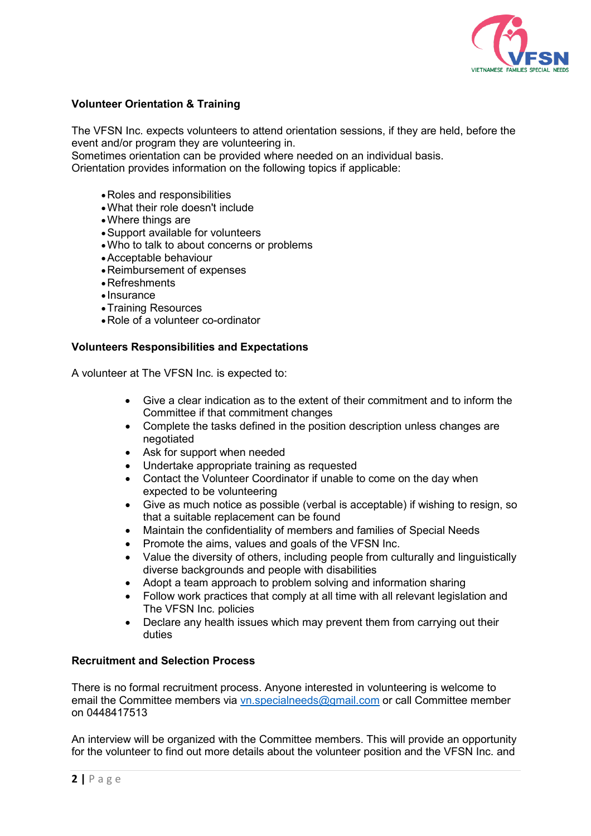

## **Volunteer Orientation & Training**

The VFSN Inc. expects volunteers to attend orientation sessions, if they are held, before the event and/or program they are volunteering in.

Sometimes orientation can be provided where needed on an individual basis.

Orientation provides information on the following topics if applicable:

- •Roles and responsibilities
- •What their role doesn't include
- •Where things are
- •Support available for volunteers
- •Who to talk to about concerns or problems
- •Acceptable behaviour
- •Reimbursement of expenses
- •Refreshments
- Insurance
- •Training Resources
- •Role of a volunteer co-ordinator

#### **Volunteers Responsibilities and Expectations**

A volunteer at The VFSN Inc. is expected to:

- Give a clear indication as to the extent of their commitment and to inform the Committee if that commitment changes
- Complete the tasks defined in the position description unless changes are negotiated
- Ask for support when needed
- Undertake appropriate training as requested
- Contact the Volunteer Coordinator if unable to come on the day when expected to be volunteering
- Give as much notice as possible (verbal is acceptable) if wishing to resign, so that a suitable replacement can be found
- Maintain the confidentiality of members and families of Special Needs
- Promote the aims, values and goals of the VFSN Inc.
- Value the diversity of others, including people from culturally and linguistically diverse backgrounds and people with disabilities
- Adopt a team approach to problem solving and information sharing
- Follow work practices that comply at all time with all relevant legislation and The VFSN Inc. policies
- Declare any health issues which may prevent them from carrying out their duties

## **Recruitment and Selection Process**

There is no formal recruitment process. Anyone interested in volunteering is welcome to email the Committee members via [vn.specialneeds@gmail.com](mailto:vn.specialneeds@gmail.com) or call Committee member on 0448417513

An interview will be organized with the Committee members. This will provide an opportunity for the volunteer to find out more details about the volunteer position and the VFSN Inc. and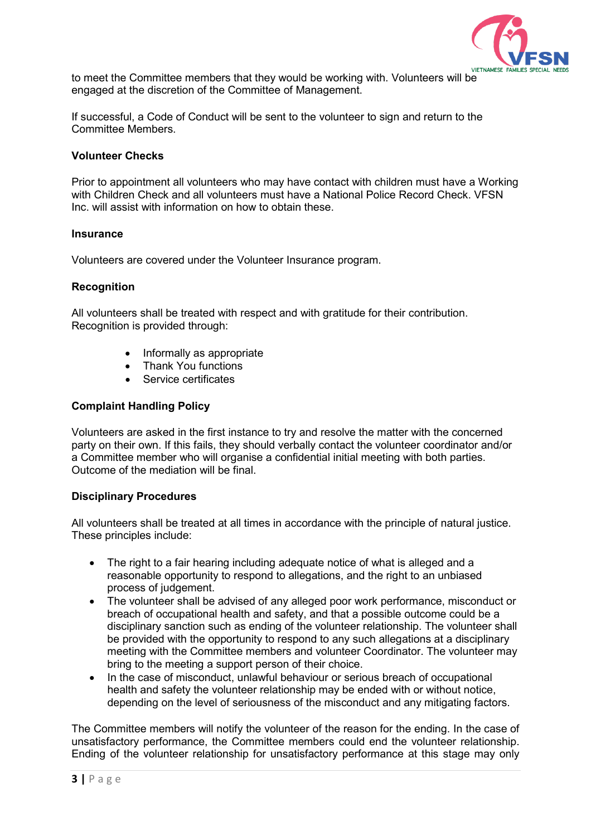

to meet the Committee members that they would be working with. Volunteers will be engaged at the discretion of the Committee of Management.

If successful, a Code of Conduct will be sent to the volunteer to sign and return to the Committee Members.

#### **Volunteer Checks**

Prior to appointment all volunteers who may have contact with children must have a Working with Children Check and all volunteers must have a National Police Record Check. VFSN Inc. will assist with information on how to obtain these.

#### **Insurance**

Volunteers are covered under the Volunteer Insurance program.

## **Recognition**

All volunteers shall be treated with respect and with gratitude for their contribution. Recognition is provided through:

- Informally as appropriate
- Thank You functions
- Service certificates

## **Complaint Handling Policy**

Volunteers are asked in the first instance to try and resolve the matter with the concerned party on their own. If this fails, they should verbally contact the volunteer coordinator and/or a Committee member who will organise a confidential initial meeting with both parties. Outcome of the mediation will be final.

## **Disciplinary Procedures**

All volunteers shall be treated at all times in accordance with the principle of natural justice. These principles include:

- The right to a fair hearing including adequate notice of what is alleged and a reasonable opportunity to respond to allegations, and the right to an unbiased process of judgement.
- The volunteer shall be advised of any alleged poor work performance, misconduct or breach of occupational health and safety, and that a possible outcome could be a disciplinary sanction such as ending of the volunteer relationship. The volunteer shall be provided with the opportunity to respond to any such allegations at a disciplinary meeting with the Committee members and volunteer Coordinator. The volunteer may bring to the meeting a support person of their choice.
- In the case of misconduct, unlawful behaviour or serious breach of occupational health and safety the volunteer relationship may be ended with or without notice, depending on the level of seriousness of the misconduct and any mitigating factors.

The Committee members will notify the volunteer of the reason for the ending. In the case of unsatisfactory performance, the Committee members could end the volunteer relationship. Ending of the volunteer relationship for unsatisfactory performance at this stage may only